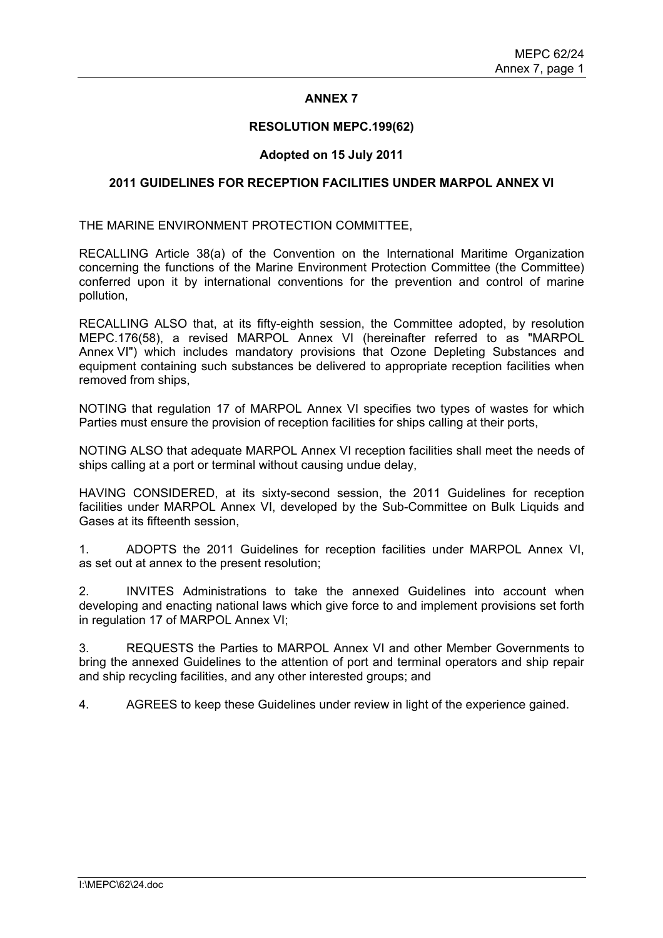# **ANNEX 7**

#### **RESOLUTION MEPC.199(62)**

# **Adopted on 15 July 2011**

#### **2011 GUIDELINES FOR RECEPTION FACILITIES UNDER MARPOL ANNEX VI**

THE MARINE ENVIRONMENT PROTECTION COMMITTEE,

RECALLING Article 38(a) of the Convention on the International Maritime Organization concerning the functions of the Marine Environment Protection Committee (the Committee) conferred upon it by international conventions for the prevention and control of marine pollution,

RECALLING ALSO that, at its fifty-eighth session, the Committee adopted, by resolution MEPC.176(58), a revised MARPOL Annex VI (hereinafter referred to as "MARPOL Annex VI") which includes mandatory provisions that Ozone Depleting Substances and equipment containing such substances be delivered to appropriate reception facilities when removed from ships,

NOTING that regulation 17 of MARPOL Annex VI specifies two types of wastes for which Parties must ensure the provision of reception facilities for ships calling at their ports,

NOTING ALSO that adequate MARPOL Annex VI reception facilities shall meet the needs of ships calling at a port or terminal without causing undue delay,

HAVING CONSIDERED, at its sixty-second session, the 2011 Guidelines for reception facilities under MARPOL Annex VI, developed by the Sub-Committee on Bulk Liquids and Gases at its fifteenth session,

1. ADOPTS the 2011 Guidelines for reception facilities under MARPOL Annex VI, as set out at annex to the present resolution;

2. INVITES Administrations to take the annexed Guidelines into account when developing and enacting national laws which give force to and implement provisions set forth in regulation 17 of MARPOL Annex VI;

3. REQUESTS the Parties to MARPOL Annex VI and other Member Governments to bring the annexed Guidelines to the attention of port and terminal operators and ship repair and ship recycling facilities, and any other interested groups; and

4. AGREES to keep these Guidelines under review in light of the experience gained.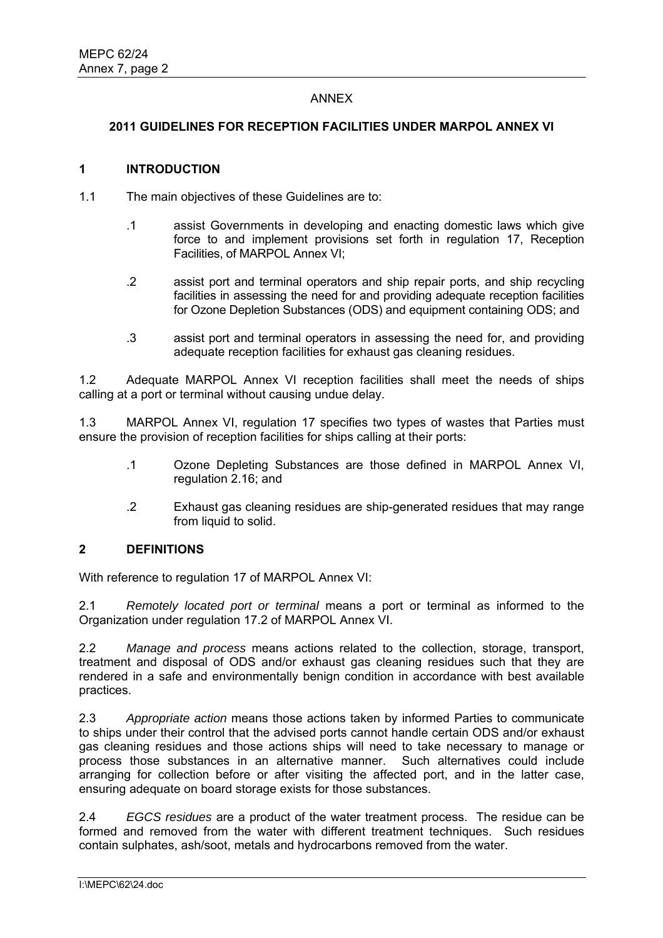# ANNEX

## **2011 GUIDELINES FOR RECEPTION FACILITIES UNDER MARPOL ANNEX VI**

## **1 INTRODUCTION**

- 1.1 The main objectives of these Guidelines are to:
	- .1 assist Governments in developing and enacting domestic laws which give force to and implement provisions set forth in regulation 17, Reception Facilities, of MARPOL Annex VI;
	- .2 assist port and terminal operators and ship repair ports, and ship recycling facilities in assessing the need for and providing adequate reception facilities for Ozone Depletion Substances (ODS) and equipment containing ODS; and
	- .3 assist port and terminal operators in assessing the need for, and providing adequate reception facilities for exhaust gas cleaning residues.

1.2 Adequate MARPOL Annex VI reception facilities shall meet the needs of ships calling at a port or terminal without causing undue delay.

1.3 MARPOL Annex VI, regulation 17 specifies two types of wastes that Parties must ensure the provision of reception facilities for ships calling at their ports:

- .1 Ozone Depleting Substances are those defined in MARPOL Annex VI, regulation 2.16; and
- .2 Exhaust gas cleaning residues are ship-generated residues that may range from liquid to solid.

# **2 DEFINITIONS**

With reference to regulation 17 of MARPOL Annex VI:

2.1 *Remotely located port or terminal* means a port or terminal as informed to the Organization under regulation 17.2 of MARPOL Annex VI.

2.2 *Manage and process* means actions related to the collection, storage, transport, treatment and disposal of ODS and/or exhaust gas cleaning residues such that they are rendered in a safe and environmentally benign condition in accordance with best available practices.

2.3 *Appropriate action* means those actions taken by informed Parties to communicate to ships under their control that the advised ports cannot handle certain ODS and/or exhaust gas cleaning residues and those actions ships will need to take necessary to manage or process those substances in an alternative manner. Such alternatives could include arranging for collection before or after visiting the affected port, and in the latter case, ensuring adequate on board storage exists for those substances.

2.4 *EGCS residues* are a product of the water treatment process. The residue can be formed and removed from the water with different treatment techniques. Such residues contain sulphates, ash/soot, metals and hydrocarbons removed from the water.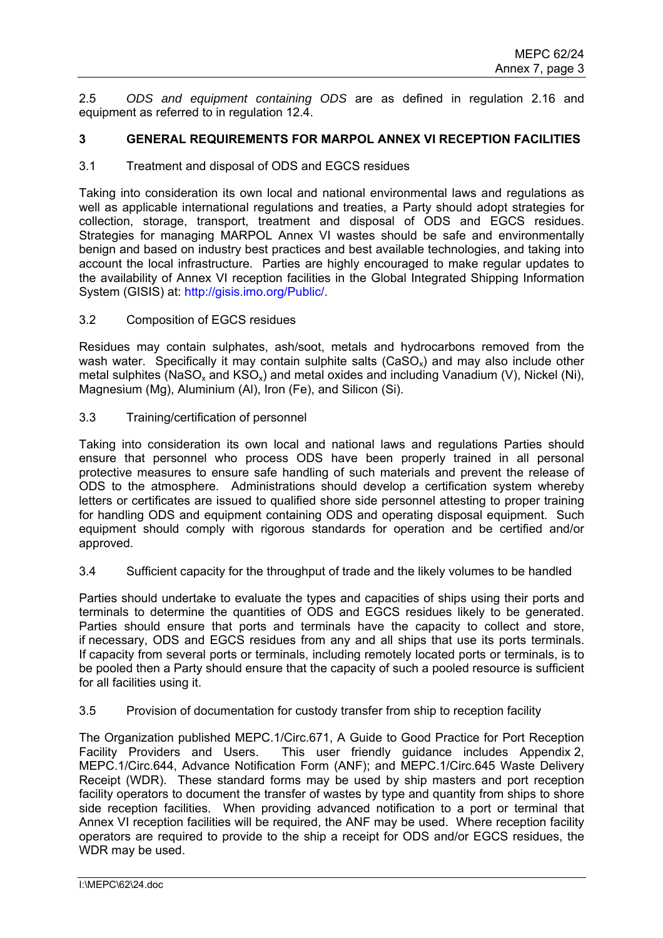2.5 *ODS and equipment containing ODS* are as defined in regulation 2.16 and equipment as referred to in regulation 12.4.

# **3 GENERAL REQUIREMENTS FOR MARPOL ANNEX VI RECEPTION FACILITIES**

#### 3.1 Treatment and disposal of ODS and EGCS residues

Taking into consideration its own local and national environmental laws and regulations as well as applicable international regulations and treaties, a Party should adopt strategies for collection, storage, transport, treatment and disposal of ODS and EGCS residues. Strategies for managing MARPOL Annex VI wastes should be safe and environmentally benign and based on industry best practices and best available technologies, and taking into account the local infrastructure. Parties are highly encouraged to make regular updates to the availability of Annex VI reception facilities in the Global Integrated Shipping Information System (GISIS) at: http://gisis.imo.org/Public/.

3.2 Composition of EGCS residues

Residues may contain sulphates, ash/soot, metals and hydrocarbons removed from the wash water. Specifically it may contain sulphite salts ( $CaSO<sub>x</sub>$ ) and may also include other metal sulphites (NaSO<sub>x</sub> and KSO<sub>x</sub>) and metal oxides and including Vanadium (V), Nickel (Ni), Magnesium (Mg), Aluminium (Al), Iron (Fe), and Silicon (Si).

3.3 Training/certification of personnel

Taking into consideration its own local and national laws and regulations Parties should ensure that personnel who process ODS have been properly trained in all personal protective measures to ensure safe handling of such materials and prevent the release of ODS to the atmosphere. Administrations should develop a certification system whereby letters or certificates are issued to qualified shore side personnel attesting to proper training for handling ODS and equipment containing ODS and operating disposal equipment. Such equipment should comply with rigorous standards for operation and be certified and/or approved.

3.4 Sufficient capacity for the throughput of trade and the likely volumes to be handled

Parties should undertake to evaluate the types and capacities of ships using their ports and terminals to determine the quantities of ODS and EGCS residues likely to be generated. Parties should ensure that ports and terminals have the capacity to collect and store, if necessary, ODS and EGCS residues from any and all ships that use its ports terminals. If capacity from several ports or terminals, including remotely located ports or terminals, is to be pooled then a Party should ensure that the capacity of such a pooled resource is sufficient for all facilities using it.

3.5 Provision of documentation for custody transfer from ship to reception facility

The Organization published MEPC.1/Circ.671, A Guide to Good Practice for Port Reception Facility Providers and Users. This user friendly guidance includes Appendix 2, MEPC.1/Circ.644, Advance Notification Form (ANF); and MEPC.1/Circ.645 Waste Delivery Receipt (WDR). These standard forms may be used by ship masters and port reception facility operators to document the transfer of wastes by type and quantity from ships to shore side reception facilities. When providing advanced notification to a port or terminal that Annex VI reception facilities will be required, the ANF may be used. Where reception facility operators are required to provide to the ship a receipt for ODS and/or EGCS residues, the WDR may be used.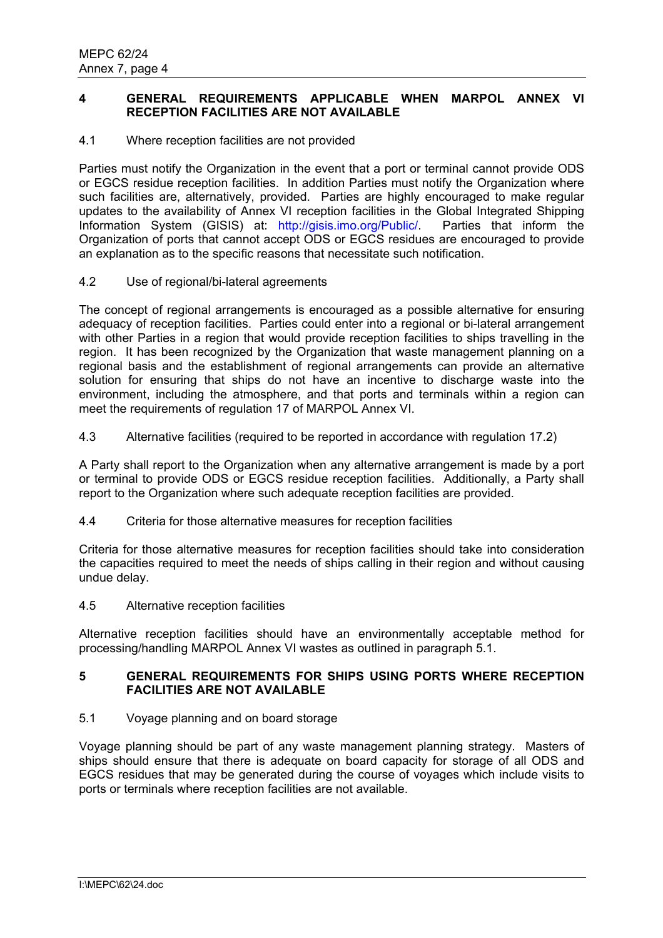# **4 GENERAL REQUIREMENTS APPLICABLE WHEN MARPOL ANNEX VI RECEPTION FACILITIES ARE NOT AVAILABLE**

# 4.1 Where reception facilities are not provided

Parties must notify the Organization in the event that a port or terminal cannot provide ODS or EGCS residue reception facilities. In addition Parties must notify the Organization where such facilities are, alternatively, provided. Parties are highly encouraged to make regular updates to the availability of Annex VI reception facilities in the Global Integrated Shipping Information System (GISIS) at: http://gisis.imo.org/Public/. Parties that inform the Organization of ports that cannot accept ODS or EGCS residues are encouraged to provide an explanation as to the specific reasons that necessitate such notification.

## 4.2 Use of regional/bi-lateral agreements

The concept of regional arrangements is encouraged as a possible alternative for ensuring adequacy of reception facilities. Parties could enter into a regional or bi-lateral arrangement with other Parties in a region that would provide reception facilities to ships travelling in the region. It has been recognized by the Organization that waste management planning on a regional basis and the establishment of regional arrangements can provide an alternative solution for ensuring that ships do not have an incentive to discharge waste into the environment, including the atmosphere, and that ports and terminals within a region can meet the requirements of regulation 17 of MARPOL Annex VI.

4.3 Alternative facilities (required to be reported in accordance with regulation 17.2)

A Party shall report to the Organization when any alternative arrangement is made by a port or terminal to provide ODS or EGCS residue reception facilities. Additionally, a Party shall report to the Organization where such adequate reception facilities are provided.

4.4 Criteria for those alternative measures for reception facilities

Criteria for those alternative measures for reception facilities should take into consideration the capacities required to meet the needs of ships calling in their region and without causing undue delay.

## 4.5 Alternative reception facilities

Alternative reception facilities should have an environmentally acceptable method for processing/handling MARPOL Annex VI wastes as outlined in paragraph 5.1.

# **5 GENERAL REQUIREMENTS FOR SHIPS USING PORTS WHERE RECEPTION FACILITIES ARE NOT AVAILABLE**

# 5.1 Voyage planning and on board storage

Voyage planning should be part of any waste management planning strategy. Masters of ships should ensure that there is adequate on board capacity for storage of all ODS and EGCS residues that may be generated during the course of voyages which include visits to ports or terminals where reception facilities are not available.